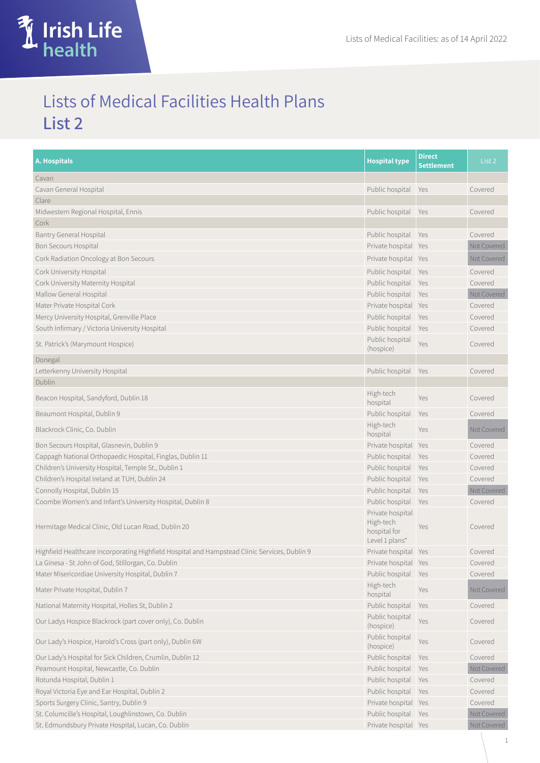

## Lists of Medical Facilities Health Plans **List 2**

| <b>A. Hospitals</b>                                                                           | <b>Hospital type</b>                                            | <b>Direct</b><br>Settlement | List <sub>2</sub> |
|-----------------------------------------------------------------------------------------------|-----------------------------------------------------------------|-----------------------------|-------------------|
| Cavan                                                                                         |                                                                 |                             |                   |
| Cavan General Hospital                                                                        | Public hospital Yes                                             |                             | Covered           |
| Clare                                                                                         |                                                                 |                             |                   |
| Midwestern Regional Hospital, Ennis                                                           | Public hospital Yes                                             |                             | Covered           |
| Cork                                                                                          |                                                                 |                             |                   |
| <b>Bantry General Hospital</b>                                                                | Public hospital                                                 | Yes                         | Covered           |
| Bon Secours Hospital                                                                          | Private hospital Yes                                            |                             | Not Covered       |
| Cork Radiation Oncology at Bon Secours                                                        | Private hospital Yes                                            |                             | Not Covered       |
| Cork University Hospital                                                                      | Public hospital                                                 | Yes                         | Covered           |
| Cork University Maternity Hospital                                                            | Public hospital                                                 | Yes                         | Covered           |
| Mallow General Hospital                                                                       | Public hospital                                                 | Yes                         | Not Covered       |
| Mater Private Hospital Cork                                                                   | Private hospital                                                | Yes                         | Covered           |
| Mercy University Hospital, Grenville Place                                                    | Public hospital                                                 | Yes                         | Covered           |
| South Infirmary / Victoria University Hospital                                                | Public hospital                                                 | Yes                         | Covered           |
| St. Patrick's (Marymount Hospice)                                                             | Public hospital<br>(hospice)                                    | Yes                         | Covered           |
| Donegal                                                                                       |                                                                 |                             |                   |
| Letterkenny University Hospital                                                               | Public hospital                                                 | Yes                         | Covered           |
| Dublin                                                                                        |                                                                 |                             |                   |
| Beacon Hospital, Sandyford, Dublin 18                                                         | High-tech<br>hospital                                           | Yes                         | Covered           |
| Beaumont Hospital, Dublin 9                                                                   | Public hospital                                                 | Yes                         | Covered           |
| Blackrock Clinic, Co. Dublin                                                                  | High-tech<br>hospital                                           | Yes                         | Not Covered       |
| Bon Secours Hospital, Glasnevin, Dublin 9                                                     | Private hospital Yes                                            |                             | Covered           |
| Cappagh National Orthopaedic Hospital, Finglas, Dublin 11                                     | Public hospital                                                 | Yes                         | Covered           |
| Children's University Hospital, Temple St., Dublin 1                                          | Public hospital                                                 | Yes                         | Covered           |
| Children's Hospital Ireland at TUH, Dublin 24                                                 | Public hospital                                                 | Yes                         | Covered           |
| Connolly Hospital, Dublin 15                                                                  | Public hospital                                                 | Yes                         | Not Covered       |
| Coombe Women's and Infant's University Hospital, Dublin 8                                     | Public hospital                                                 | <b>Yes</b>                  | Covered           |
| Hermitage Medical Clinic, Old Lucan Road, Dublin 20                                           | Private hospital<br>High-tech<br>hospital for<br>Level 1 plans* | Yes                         | Covered           |
| Highfield Healthcare incorporating Highfield Hospital and Hampstead Clinic Services, Dublin 9 | Private hospital Yes                                            |                             | Covered           |
| La Ginesa - St John of God, Stillorgan, Co. Dublin                                            | Private hospital Yes                                            |                             | Covered           |
| Mater Misericordiae University Hospital, Dublin 7                                             | Public hospital                                                 | Yes                         | Covered           |
| Mater Private Hospital, Dublin 7                                                              | High-tech<br>hospital                                           | Yes                         | Not Covered       |
| National Maternity Hospital, Holles St, Dublin 2                                              | Public hospital                                                 | Yes                         | Covered           |
| Our Ladys Hospice Blackrock (part cover only), Co. Dublin                                     | Public hospital<br>(hospice)                                    | Yes                         | Covered           |
| Our Lady's Hospice, Harold's Cross (part only), Dublin 6W                                     | Public hospital<br>(hospice)                                    | Yes                         | Covered           |
| Our Lady's Hospital for Sick Children, Crumlin, Dublin 12                                     | Public hospital                                                 | Yes                         | Covered           |
| Peamount Hospital, Newcastle, Co. Dublin                                                      | Public hospital                                                 | Yes                         | Not Covered       |
| Rotunda Hospital, Dublin 1                                                                    | Public hospital                                                 | Yes                         | Covered           |
| Royal Victoria Eye and Ear Hospital, Dublin 2                                                 | Public hospital                                                 | Yes                         | Covered           |
| Sports Surgery Clinic, Santry, Dublin 9                                                       | Private hospital Yes                                            |                             | Covered           |
| St. Columcille's Hospital, Loughlinstown, Co. Dublin                                          | Public hospital                                                 | Yes                         | Not Covered       |
| St. Edmundsbury Private Hospital, Lucan, Co. Dublin                                           | Private hospital Yes                                            |                             | Not Covered       |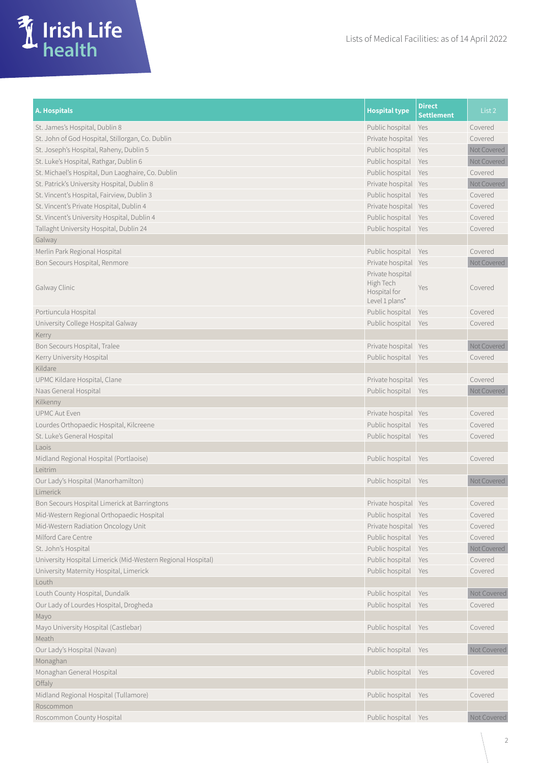

| St. James's Hospital, Dublin 8<br>Public hospital<br>Yes<br>Covered<br>Covered<br>St. John of God Hospital, Stillorgan, Co. Dublin<br>Private hospital Yes<br>Not Covered<br>Public hospital<br>St. Joseph's Hospital, Raheny, Dublin 5<br>Yes<br>Public hospital<br>St. Luke's Hospital, Rathgar, Dublin 6<br>Not Covered<br>Yes<br>Public hospital<br>St. Michael's Hospital, Dun Laoghaire, Co. Dublin<br>Covered<br>Yes<br>St. Patrick's University Hospital, Dublin 8<br>Private hospital Yes<br>Not Covered<br>St. Vincent's Hospital, Fairview, Dublin 3<br>Public hospital<br>Covered<br>Yes<br>St. Vincent's Private Hospital, Dublin 4<br>Private hospital Yes<br>Covered<br>Public hospital<br>St. Vincent's University Hospital, Dublin 4<br>Covered<br>Yes<br>Public hospital<br>Tallaght University Hospital, Dublin 24<br>Covered<br>Yes<br>Galway<br>Merlin Park Regional Hospital<br>Public hospital<br>Yes<br>Covered<br>Private hospital Yes<br>Bon Secours Hospital, Renmore<br>Not Covered<br>Private hospital<br>High Tech<br>Galway Clinic<br>Yes<br>Covered<br>Hospital for<br>Level 1 plans*<br>Public hospital<br>Portiuncula Hospital<br>Covered<br>Yes<br>Public hospital<br>University College Hospital Galway<br>Covered<br>Yes<br>Kerry<br>Not Covered<br>Bon Secours Hospital, Tralee<br>Private hospital<br>Yes<br>Public hospital<br>Kerry University Hospital<br>Covered<br>Yes<br>Kildare<br>UPMC Kildare Hospital, Clane<br>Private hospital Yes<br>Covered<br>Public hospital Yes<br>Naas General Hospital<br>Not Covered<br>Kilkenny<br><b>UPMC Aut Even</b><br>Private hospital Yes<br>Covered<br>Public hospital<br>Lourdes Orthopaedic Hospital, Kilcreene<br>Covered<br>Yes<br>Public hospital Yes<br>St. Luke's General Hospital<br>Covered<br>Laois<br>Midland Regional Hospital (Portlaoise)<br>Public hospital Yes<br>Covered<br>Leitrim<br>Our Lady's Hospital (Manorhamilton)<br>Public hospital<br>Not Covered<br>Yes<br>Limerick<br>Bon Secours Hospital Limerick at Barringtons<br>Private hospital Yes<br>Covered<br>Mid-Western Regional Orthopaedic Hospital<br>Public hospital Yes<br>Covered<br>Private hospital Yes<br>Mid-Western Radiation Oncology Unit<br>Covered<br>Public hospital Yes<br>Milford Care Centre<br>Covered<br>Public hospital Yes<br>St. John's Hospital<br>Not Covered<br>Public hospital Yes<br>University Hospital Limerick (Mid-Western Regional Hospital)<br>Covered<br>Public hospital Yes<br>Covered<br>University Maternity Hospital, Limerick<br>Louth<br>Louth County Hospital, Dundalk<br>Public hospital<br>Not Covered<br>Yes<br>Our Lady of Lourdes Hospital, Drogheda<br>Public hospital Yes<br>Covered<br>Mayo<br>Mayo University Hospital (Castlebar)<br>Public hospital Yes<br>Covered<br>Meath<br>Our Lady's Hospital (Navan)<br>Public hospital<br>Not Covered<br>Yes<br>Monaghan<br>Monaghan General Hospital<br>Public hospital<br>Yes<br>Covered<br>Offaly<br>Midland Regional Hospital (Tullamore)<br>Public hospital Yes<br>Covered<br>Roscommon<br>Public hospital Yes<br>Roscommon County Hospital<br>Not Covered | <b>A. Hospitals</b> | <b>Hospital type</b> | <b>Direct</b><br><b>Settlement</b> | List <sub>2</sub> |
|----------------------------------------------------------------------------------------------------------------------------------------------------------------------------------------------------------------------------------------------------------------------------------------------------------------------------------------------------------------------------------------------------------------------------------------------------------------------------------------------------------------------------------------------------------------------------------------------------------------------------------------------------------------------------------------------------------------------------------------------------------------------------------------------------------------------------------------------------------------------------------------------------------------------------------------------------------------------------------------------------------------------------------------------------------------------------------------------------------------------------------------------------------------------------------------------------------------------------------------------------------------------------------------------------------------------------------------------------------------------------------------------------------------------------------------------------------------------------------------------------------------------------------------------------------------------------------------------------------------------------------------------------------------------------------------------------------------------------------------------------------------------------------------------------------------------------------------------------------------------------------------------------------------------------------------------------------------------------------------------------------------------------------------------------------------------------------------------------------------------------------------------------------------------------------------------------------------------------------------------------------------------------------------------------------------------------------------------------------------------------------------------------------------------------------------------------------------------------------------------------------------------------------------------------------------------------------------------------------------------------------------------------------------------------------------------------------------------------------------------------------------------------------------------------------------------------------------------------------------------------------------------------------------------------------------------------------------------------------------------------------------------------------------------------------------------------------------------------------------------------|---------------------|----------------------|------------------------------------|-------------------|
|                                                                                                                                                                                                                                                                                                                                                                                                                                                                                                                                                                                                                                                                                                                                                                                                                                                                                                                                                                                                                                                                                                                                                                                                                                                                                                                                                                                                                                                                                                                                                                                                                                                                                                                                                                                                                                                                                                                                                                                                                                                                                                                                                                                                                                                                                                                                                                                                                                                                                                                                                                                                                                                                                                                                                                                                                                                                                                                                                                                                                                                                                                                            |                     |                      |                                    |                   |
|                                                                                                                                                                                                                                                                                                                                                                                                                                                                                                                                                                                                                                                                                                                                                                                                                                                                                                                                                                                                                                                                                                                                                                                                                                                                                                                                                                                                                                                                                                                                                                                                                                                                                                                                                                                                                                                                                                                                                                                                                                                                                                                                                                                                                                                                                                                                                                                                                                                                                                                                                                                                                                                                                                                                                                                                                                                                                                                                                                                                                                                                                                                            |                     |                      |                                    |                   |
|                                                                                                                                                                                                                                                                                                                                                                                                                                                                                                                                                                                                                                                                                                                                                                                                                                                                                                                                                                                                                                                                                                                                                                                                                                                                                                                                                                                                                                                                                                                                                                                                                                                                                                                                                                                                                                                                                                                                                                                                                                                                                                                                                                                                                                                                                                                                                                                                                                                                                                                                                                                                                                                                                                                                                                                                                                                                                                                                                                                                                                                                                                                            |                     |                      |                                    |                   |
|                                                                                                                                                                                                                                                                                                                                                                                                                                                                                                                                                                                                                                                                                                                                                                                                                                                                                                                                                                                                                                                                                                                                                                                                                                                                                                                                                                                                                                                                                                                                                                                                                                                                                                                                                                                                                                                                                                                                                                                                                                                                                                                                                                                                                                                                                                                                                                                                                                                                                                                                                                                                                                                                                                                                                                                                                                                                                                                                                                                                                                                                                                                            |                     |                      |                                    |                   |
|                                                                                                                                                                                                                                                                                                                                                                                                                                                                                                                                                                                                                                                                                                                                                                                                                                                                                                                                                                                                                                                                                                                                                                                                                                                                                                                                                                                                                                                                                                                                                                                                                                                                                                                                                                                                                                                                                                                                                                                                                                                                                                                                                                                                                                                                                                                                                                                                                                                                                                                                                                                                                                                                                                                                                                                                                                                                                                                                                                                                                                                                                                                            |                     |                      |                                    |                   |
|                                                                                                                                                                                                                                                                                                                                                                                                                                                                                                                                                                                                                                                                                                                                                                                                                                                                                                                                                                                                                                                                                                                                                                                                                                                                                                                                                                                                                                                                                                                                                                                                                                                                                                                                                                                                                                                                                                                                                                                                                                                                                                                                                                                                                                                                                                                                                                                                                                                                                                                                                                                                                                                                                                                                                                                                                                                                                                                                                                                                                                                                                                                            |                     |                      |                                    |                   |
|                                                                                                                                                                                                                                                                                                                                                                                                                                                                                                                                                                                                                                                                                                                                                                                                                                                                                                                                                                                                                                                                                                                                                                                                                                                                                                                                                                                                                                                                                                                                                                                                                                                                                                                                                                                                                                                                                                                                                                                                                                                                                                                                                                                                                                                                                                                                                                                                                                                                                                                                                                                                                                                                                                                                                                                                                                                                                                                                                                                                                                                                                                                            |                     |                      |                                    |                   |
|                                                                                                                                                                                                                                                                                                                                                                                                                                                                                                                                                                                                                                                                                                                                                                                                                                                                                                                                                                                                                                                                                                                                                                                                                                                                                                                                                                                                                                                                                                                                                                                                                                                                                                                                                                                                                                                                                                                                                                                                                                                                                                                                                                                                                                                                                                                                                                                                                                                                                                                                                                                                                                                                                                                                                                                                                                                                                                                                                                                                                                                                                                                            |                     |                      |                                    |                   |
|                                                                                                                                                                                                                                                                                                                                                                                                                                                                                                                                                                                                                                                                                                                                                                                                                                                                                                                                                                                                                                                                                                                                                                                                                                                                                                                                                                                                                                                                                                                                                                                                                                                                                                                                                                                                                                                                                                                                                                                                                                                                                                                                                                                                                                                                                                                                                                                                                                                                                                                                                                                                                                                                                                                                                                                                                                                                                                                                                                                                                                                                                                                            |                     |                      |                                    |                   |
|                                                                                                                                                                                                                                                                                                                                                                                                                                                                                                                                                                                                                                                                                                                                                                                                                                                                                                                                                                                                                                                                                                                                                                                                                                                                                                                                                                                                                                                                                                                                                                                                                                                                                                                                                                                                                                                                                                                                                                                                                                                                                                                                                                                                                                                                                                                                                                                                                                                                                                                                                                                                                                                                                                                                                                                                                                                                                                                                                                                                                                                                                                                            |                     |                      |                                    |                   |
|                                                                                                                                                                                                                                                                                                                                                                                                                                                                                                                                                                                                                                                                                                                                                                                                                                                                                                                                                                                                                                                                                                                                                                                                                                                                                                                                                                                                                                                                                                                                                                                                                                                                                                                                                                                                                                                                                                                                                                                                                                                                                                                                                                                                                                                                                                                                                                                                                                                                                                                                                                                                                                                                                                                                                                                                                                                                                                                                                                                                                                                                                                                            |                     |                      |                                    |                   |
|                                                                                                                                                                                                                                                                                                                                                                                                                                                                                                                                                                                                                                                                                                                                                                                                                                                                                                                                                                                                                                                                                                                                                                                                                                                                                                                                                                                                                                                                                                                                                                                                                                                                                                                                                                                                                                                                                                                                                                                                                                                                                                                                                                                                                                                                                                                                                                                                                                                                                                                                                                                                                                                                                                                                                                                                                                                                                                                                                                                                                                                                                                                            |                     |                      |                                    |                   |
|                                                                                                                                                                                                                                                                                                                                                                                                                                                                                                                                                                                                                                                                                                                                                                                                                                                                                                                                                                                                                                                                                                                                                                                                                                                                                                                                                                                                                                                                                                                                                                                                                                                                                                                                                                                                                                                                                                                                                                                                                                                                                                                                                                                                                                                                                                                                                                                                                                                                                                                                                                                                                                                                                                                                                                                                                                                                                                                                                                                                                                                                                                                            |                     |                      |                                    |                   |
|                                                                                                                                                                                                                                                                                                                                                                                                                                                                                                                                                                                                                                                                                                                                                                                                                                                                                                                                                                                                                                                                                                                                                                                                                                                                                                                                                                                                                                                                                                                                                                                                                                                                                                                                                                                                                                                                                                                                                                                                                                                                                                                                                                                                                                                                                                                                                                                                                                                                                                                                                                                                                                                                                                                                                                                                                                                                                                                                                                                                                                                                                                                            |                     |                      |                                    |                   |
|                                                                                                                                                                                                                                                                                                                                                                                                                                                                                                                                                                                                                                                                                                                                                                                                                                                                                                                                                                                                                                                                                                                                                                                                                                                                                                                                                                                                                                                                                                                                                                                                                                                                                                                                                                                                                                                                                                                                                                                                                                                                                                                                                                                                                                                                                                                                                                                                                                                                                                                                                                                                                                                                                                                                                                                                                                                                                                                                                                                                                                                                                                                            |                     |                      |                                    |                   |
|                                                                                                                                                                                                                                                                                                                                                                                                                                                                                                                                                                                                                                                                                                                                                                                                                                                                                                                                                                                                                                                                                                                                                                                                                                                                                                                                                                                                                                                                                                                                                                                                                                                                                                                                                                                                                                                                                                                                                                                                                                                                                                                                                                                                                                                                                                                                                                                                                                                                                                                                                                                                                                                                                                                                                                                                                                                                                                                                                                                                                                                                                                                            |                     |                      |                                    |                   |
|                                                                                                                                                                                                                                                                                                                                                                                                                                                                                                                                                                                                                                                                                                                                                                                                                                                                                                                                                                                                                                                                                                                                                                                                                                                                                                                                                                                                                                                                                                                                                                                                                                                                                                                                                                                                                                                                                                                                                                                                                                                                                                                                                                                                                                                                                                                                                                                                                                                                                                                                                                                                                                                                                                                                                                                                                                                                                                                                                                                                                                                                                                                            |                     |                      |                                    |                   |
|                                                                                                                                                                                                                                                                                                                                                                                                                                                                                                                                                                                                                                                                                                                                                                                                                                                                                                                                                                                                                                                                                                                                                                                                                                                                                                                                                                                                                                                                                                                                                                                                                                                                                                                                                                                                                                                                                                                                                                                                                                                                                                                                                                                                                                                                                                                                                                                                                                                                                                                                                                                                                                                                                                                                                                                                                                                                                                                                                                                                                                                                                                                            |                     |                      |                                    |                   |
|                                                                                                                                                                                                                                                                                                                                                                                                                                                                                                                                                                                                                                                                                                                                                                                                                                                                                                                                                                                                                                                                                                                                                                                                                                                                                                                                                                                                                                                                                                                                                                                                                                                                                                                                                                                                                                                                                                                                                                                                                                                                                                                                                                                                                                                                                                                                                                                                                                                                                                                                                                                                                                                                                                                                                                                                                                                                                                                                                                                                                                                                                                                            |                     |                      |                                    |                   |
|                                                                                                                                                                                                                                                                                                                                                                                                                                                                                                                                                                                                                                                                                                                                                                                                                                                                                                                                                                                                                                                                                                                                                                                                                                                                                                                                                                                                                                                                                                                                                                                                                                                                                                                                                                                                                                                                                                                                                                                                                                                                                                                                                                                                                                                                                                                                                                                                                                                                                                                                                                                                                                                                                                                                                                                                                                                                                                                                                                                                                                                                                                                            |                     |                      |                                    |                   |
|                                                                                                                                                                                                                                                                                                                                                                                                                                                                                                                                                                                                                                                                                                                                                                                                                                                                                                                                                                                                                                                                                                                                                                                                                                                                                                                                                                                                                                                                                                                                                                                                                                                                                                                                                                                                                                                                                                                                                                                                                                                                                                                                                                                                                                                                                                                                                                                                                                                                                                                                                                                                                                                                                                                                                                                                                                                                                                                                                                                                                                                                                                                            |                     |                      |                                    |                   |
|                                                                                                                                                                                                                                                                                                                                                                                                                                                                                                                                                                                                                                                                                                                                                                                                                                                                                                                                                                                                                                                                                                                                                                                                                                                                                                                                                                                                                                                                                                                                                                                                                                                                                                                                                                                                                                                                                                                                                                                                                                                                                                                                                                                                                                                                                                                                                                                                                                                                                                                                                                                                                                                                                                                                                                                                                                                                                                                                                                                                                                                                                                                            |                     |                      |                                    |                   |
|                                                                                                                                                                                                                                                                                                                                                                                                                                                                                                                                                                                                                                                                                                                                                                                                                                                                                                                                                                                                                                                                                                                                                                                                                                                                                                                                                                                                                                                                                                                                                                                                                                                                                                                                                                                                                                                                                                                                                                                                                                                                                                                                                                                                                                                                                                                                                                                                                                                                                                                                                                                                                                                                                                                                                                                                                                                                                                                                                                                                                                                                                                                            |                     |                      |                                    |                   |
|                                                                                                                                                                                                                                                                                                                                                                                                                                                                                                                                                                                                                                                                                                                                                                                                                                                                                                                                                                                                                                                                                                                                                                                                                                                                                                                                                                                                                                                                                                                                                                                                                                                                                                                                                                                                                                                                                                                                                                                                                                                                                                                                                                                                                                                                                                                                                                                                                                                                                                                                                                                                                                                                                                                                                                                                                                                                                                                                                                                                                                                                                                                            |                     |                      |                                    |                   |
|                                                                                                                                                                                                                                                                                                                                                                                                                                                                                                                                                                                                                                                                                                                                                                                                                                                                                                                                                                                                                                                                                                                                                                                                                                                                                                                                                                                                                                                                                                                                                                                                                                                                                                                                                                                                                                                                                                                                                                                                                                                                                                                                                                                                                                                                                                                                                                                                                                                                                                                                                                                                                                                                                                                                                                                                                                                                                                                                                                                                                                                                                                                            |                     |                      |                                    |                   |
|                                                                                                                                                                                                                                                                                                                                                                                                                                                                                                                                                                                                                                                                                                                                                                                                                                                                                                                                                                                                                                                                                                                                                                                                                                                                                                                                                                                                                                                                                                                                                                                                                                                                                                                                                                                                                                                                                                                                                                                                                                                                                                                                                                                                                                                                                                                                                                                                                                                                                                                                                                                                                                                                                                                                                                                                                                                                                                                                                                                                                                                                                                                            |                     |                      |                                    |                   |
|                                                                                                                                                                                                                                                                                                                                                                                                                                                                                                                                                                                                                                                                                                                                                                                                                                                                                                                                                                                                                                                                                                                                                                                                                                                                                                                                                                                                                                                                                                                                                                                                                                                                                                                                                                                                                                                                                                                                                                                                                                                                                                                                                                                                                                                                                                                                                                                                                                                                                                                                                                                                                                                                                                                                                                                                                                                                                                                                                                                                                                                                                                                            |                     |                      |                                    |                   |
|                                                                                                                                                                                                                                                                                                                                                                                                                                                                                                                                                                                                                                                                                                                                                                                                                                                                                                                                                                                                                                                                                                                                                                                                                                                                                                                                                                                                                                                                                                                                                                                                                                                                                                                                                                                                                                                                                                                                                                                                                                                                                                                                                                                                                                                                                                                                                                                                                                                                                                                                                                                                                                                                                                                                                                                                                                                                                                                                                                                                                                                                                                                            |                     |                      |                                    |                   |
|                                                                                                                                                                                                                                                                                                                                                                                                                                                                                                                                                                                                                                                                                                                                                                                                                                                                                                                                                                                                                                                                                                                                                                                                                                                                                                                                                                                                                                                                                                                                                                                                                                                                                                                                                                                                                                                                                                                                                                                                                                                                                                                                                                                                                                                                                                                                                                                                                                                                                                                                                                                                                                                                                                                                                                                                                                                                                                                                                                                                                                                                                                                            |                     |                      |                                    |                   |
|                                                                                                                                                                                                                                                                                                                                                                                                                                                                                                                                                                                                                                                                                                                                                                                                                                                                                                                                                                                                                                                                                                                                                                                                                                                                                                                                                                                                                                                                                                                                                                                                                                                                                                                                                                                                                                                                                                                                                                                                                                                                                                                                                                                                                                                                                                                                                                                                                                                                                                                                                                                                                                                                                                                                                                                                                                                                                                                                                                                                                                                                                                                            |                     |                      |                                    |                   |
|                                                                                                                                                                                                                                                                                                                                                                                                                                                                                                                                                                                                                                                                                                                                                                                                                                                                                                                                                                                                                                                                                                                                                                                                                                                                                                                                                                                                                                                                                                                                                                                                                                                                                                                                                                                                                                                                                                                                                                                                                                                                                                                                                                                                                                                                                                                                                                                                                                                                                                                                                                                                                                                                                                                                                                                                                                                                                                                                                                                                                                                                                                                            |                     |                      |                                    |                   |
|                                                                                                                                                                                                                                                                                                                                                                                                                                                                                                                                                                                                                                                                                                                                                                                                                                                                                                                                                                                                                                                                                                                                                                                                                                                                                                                                                                                                                                                                                                                                                                                                                                                                                                                                                                                                                                                                                                                                                                                                                                                                                                                                                                                                                                                                                                                                                                                                                                                                                                                                                                                                                                                                                                                                                                                                                                                                                                                                                                                                                                                                                                                            |                     |                      |                                    |                   |
|                                                                                                                                                                                                                                                                                                                                                                                                                                                                                                                                                                                                                                                                                                                                                                                                                                                                                                                                                                                                                                                                                                                                                                                                                                                                                                                                                                                                                                                                                                                                                                                                                                                                                                                                                                                                                                                                                                                                                                                                                                                                                                                                                                                                                                                                                                                                                                                                                                                                                                                                                                                                                                                                                                                                                                                                                                                                                                                                                                                                                                                                                                                            |                     |                      |                                    |                   |
|                                                                                                                                                                                                                                                                                                                                                                                                                                                                                                                                                                                                                                                                                                                                                                                                                                                                                                                                                                                                                                                                                                                                                                                                                                                                                                                                                                                                                                                                                                                                                                                                                                                                                                                                                                                                                                                                                                                                                                                                                                                                                                                                                                                                                                                                                                                                                                                                                                                                                                                                                                                                                                                                                                                                                                                                                                                                                                                                                                                                                                                                                                                            |                     |                      |                                    |                   |
|                                                                                                                                                                                                                                                                                                                                                                                                                                                                                                                                                                                                                                                                                                                                                                                                                                                                                                                                                                                                                                                                                                                                                                                                                                                                                                                                                                                                                                                                                                                                                                                                                                                                                                                                                                                                                                                                                                                                                                                                                                                                                                                                                                                                                                                                                                                                                                                                                                                                                                                                                                                                                                                                                                                                                                                                                                                                                                                                                                                                                                                                                                                            |                     |                      |                                    |                   |
|                                                                                                                                                                                                                                                                                                                                                                                                                                                                                                                                                                                                                                                                                                                                                                                                                                                                                                                                                                                                                                                                                                                                                                                                                                                                                                                                                                                                                                                                                                                                                                                                                                                                                                                                                                                                                                                                                                                                                                                                                                                                                                                                                                                                                                                                                                                                                                                                                                                                                                                                                                                                                                                                                                                                                                                                                                                                                                                                                                                                                                                                                                                            |                     |                      |                                    |                   |
|                                                                                                                                                                                                                                                                                                                                                                                                                                                                                                                                                                                                                                                                                                                                                                                                                                                                                                                                                                                                                                                                                                                                                                                                                                                                                                                                                                                                                                                                                                                                                                                                                                                                                                                                                                                                                                                                                                                                                                                                                                                                                                                                                                                                                                                                                                                                                                                                                                                                                                                                                                                                                                                                                                                                                                                                                                                                                                                                                                                                                                                                                                                            |                     |                      |                                    |                   |
|                                                                                                                                                                                                                                                                                                                                                                                                                                                                                                                                                                                                                                                                                                                                                                                                                                                                                                                                                                                                                                                                                                                                                                                                                                                                                                                                                                                                                                                                                                                                                                                                                                                                                                                                                                                                                                                                                                                                                                                                                                                                                                                                                                                                                                                                                                                                                                                                                                                                                                                                                                                                                                                                                                                                                                                                                                                                                                                                                                                                                                                                                                                            |                     |                      |                                    |                   |
|                                                                                                                                                                                                                                                                                                                                                                                                                                                                                                                                                                                                                                                                                                                                                                                                                                                                                                                                                                                                                                                                                                                                                                                                                                                                                                                                                                                                                                                                                                                                                                                                                                                                                                                                                                                                                                                                                                                                                                                                                                                                                                                                                                                                                                                                                                                                                                                                                                                                                                                                                                                                                                                                                                                                                                                                                                                                                                                                                                                                                                                                                                                            |                     |                      |                                    |                   |
|                                                                                                                                                                                                                                                                                                                                                                                                                                                                                                                                                                                                                                                                                                                                                                                                                                                                                                                                                                                                                                                                                                                                                                                                                                                                                                                                                                                                                                                                                                                                                                                                                                                                                                                                                                                                                                                                                                                                                                                                                                                                                                                                                                                                                                                                                                                                                                                                                                                                                                                                                                                                                                                                                                                                                                                                                                                                                                                                                                                                                                                                                                                            |                     |                      |                                    |                   |
|                                                                                                                                                                                                                                                                                                                                                                                                                                                                                                                                                                                                                                                                                                                                                                                                                                                                                                                                                                                                                                                                                                                                                                                                                                                                                                                                                                                                                                                                                                                                                                                                                                                                                                                                                                                                                                                                                                                                                                                                                                                                                                                                                                                                                                                                                                                                                                                                                                                                                                                                                                                                                                                                                                                                                                                                                                                                                                                                                                                                                                                                                                                            |                     |                      |                                    |                   |
|                                                                                                                                                                                                                                                                                                                                                                                                                                                                                                                                                                                                                                                                                                                                                                                                                                                                                                                                                                                                                                                                                                                                                                                                                                                                                                                                                                                                                                                                                                                                                                                                                                                                                                                                                                                                                                                                                                                                                                                                                                                                                                                                                                                                                                                                                                                                                                                                                                                                                                                                                                                                                                                                                                                                                                                                                                                                                                                                                                                                                                                                                                                            |                     |                      |                                    |                   |
|                                                                                                                                                                                                                                                                                                                                                                                                                                                                                                                                                                                                                                                                                                                                                                                                                                                                                                                                                                                                                                                                                                                                                                                                                                                                                                                                                                                                                                                                                                                                                                                                                                                                                                                                                                                                                                                                                                                                                                                                                                                                                                                                                                                                                                                                                                                                                                                                                                                                                                                                                                                                                                                                                                                                                                                                                                                                                                                                                                                                                                                                                                                            |                     |                      |                                    |                   |
|                                                                                                                                                                                                                                                                                                                                                                                                                                                                                                                                                                                                                                                                                                                                                                                                                                                                                                                                                                                                                                                                                                                                                                                                                                                                                                                                                                                                                                                                                                                                                                                                                                                                                                                                                                                                                                                                                                                                                                                                                                                                                                                                                                                                                                                                                                                                                                                                                                                                                                                                                                                                                                                                                                                                                                                                                                                                                                                                                                                                                                                                                                                            |                     |                      |                                    |                   |
|                                                                                                                                                                                                                                                                                                                                                                                                                                                                                                                                                                                                                                                                                                                                                                                                                                                                                                                                                                                                                                                                                                                                                                                                                                                                                                                                                                                                                                                                                                                                                                                                                                                                                                                                                                                                                                                                                                                                                                                                                                                                                                                                                                                                                                                                                                                                                                                                                                                                                                                                                                                                                                                                                                                                                                                                                                                                                                                                                                                                                                                                                                                            |                     |                      |                                    |                   |
|                                                                                                                                                                                                                                                                                                                                                                                                                                                                                                                                                                                                                                                                                                                                                                                                                                                                                                                                                                                                                                                                                                                                                                                                                                                                                                                                                                                                                                                                                                                                                                                                                                                                                                                                                                                                                                                                                                                                                                                                                                                                                                                                                                                                                                                                                                                                                                                                                                                                                                                                                                                                                                                                                                                                                                                                                                                                                                                                                                                                                                                                                                                            |                     |                      |                                    |                   |
|                                                                                                                                                                                                                                                                                                                                                                                                                                                                                                                                                                                                                                                                                                                                                                                                                                                                                                                                                                                                                                                                                                                                                                                                                                                                                                                                                                                                                                                                                                                                                                                                                                                                                                                                                                                                                                                                                                                                                                                                                                                                                                                                                                                                                                                                                                                                                                                                                                                                                                                                                                                                                                                                                                                                                                                                                                                                                                                                                                                                                                                                                                                            |                     |                      |                                    |                   |
|                                                                                                                                                                                                                                                                                                                                                                                                                                                                                                                                                                                                                                                                                                                                                                                                                                                                                                                                                                                                                                                                                                                                                                                                                                                                                                                                                                                                                                                                                                                                                                                                                                                                                                                                                                                                                                                                                                                                                                                                                                                                                                                                                                                                                                                                                                                                                                                                                                                                                                                                                                                                                                                                                                                                                                                                                                                                                                                                                                                                                                                                                                                            |                     |                      |                                    |                   |
|                                                                                                                                                                                                                                                                                                                                                                                                                                                                                                                                                                                                                                                                                                                                                                                                                                                                                                                                                                                                                                                                                                                                                                                                                                                                                                                                                                                                                                                                                                                                                                                                                                                                                                                                                                                                                                                                                                                                                                                                                                                                                                                                                                                                                                                                                                                                                                                                                                                                                                                                                                                                                                                                                                                                                                                                                                                                                                                                                                                                                                                                                                                            |                     |                      |                                    |                   |
|                                                                                                                                                                                                                                                                                                                                                                                                                                                                                                                                                                                                                                                                                                                                                                                                                                                                                                                                                                                                                                                                                                                                                                                                                                                                                                                                                                                                                                                                                                                                                                                                                                                                                                                                                                                                                                                                                                                                                                                                                                                                                                                                                                                                                                                                                                                                                                                                                                                                                                                                                                                                                                                                                                                                                                                                                                                                                                                                                                                                                                                                                                                            |                     |                      |                                    |                   |
|                                                                                                                                                                                                                                                                                                                                                                                                                                                                                                                                                                                                                                                                                                                                                                                                                                                                                                                                                                                                                                                                                                                                                                                                                                                                                                                                                                                                                                                                                                                                                                                                                                                                                                                                                                                                                                                                                                                                                                                                                                                                                                                                                                                                                                                                                                                                                                                                                                                                                                                                                                                                                                                                                                                                                                                                                                                                                                                                                                                                                                                                                                                            |                     |                      |                                    |                   |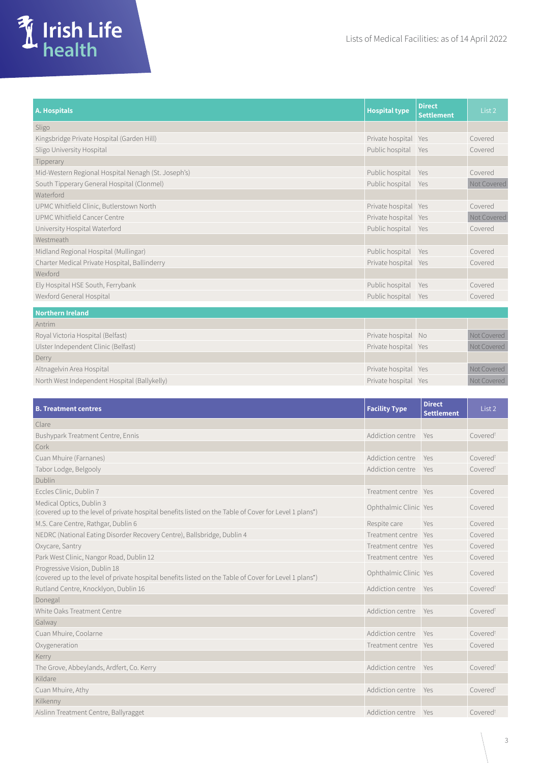

| A. Hospitals                                        | <b>Hospital type</b> | <b>Direct</b><br><b>Settlement</b> | List <sub>2</sub> |
|-----------------------------------------------------|----------------------|------------------------------------|-------------------|
| Sligo                                               |                      |                                    |                   |
| Kingsbridge Private Hospital (Garden Hill)          | Private hospital Yes |                                    | Covered           |
| Sligo University Hospital                           | Public hospital      | Yes                                | Covered           |
| Tipperary                                           |                      |                                    |                   |
| Mid-Western Regional Hospital Nenagh (St. Joseph's) | Public hospital Yes  |                                    | Covered           |
| South Tipperary General Hospital (Clonmel)          | Public hospital Yes  |                                    | Not Covered       |
| Waterford                                           |                      |                                    |                   |
| UPMC Whitfield Clinic, Butlerstown North            | Private hospital Yes |                                    | Covered           |
| UPMC Whitfield Cancer Centre                        | Private hospital Yes |                                    | Not Covered       |
| University Hospital Waterford                       | Public hospital Yes  |                                    | Covered           |
| Westmeath                                           |                      |                                    |                   |
| Midland Regional Hospital (Mullingar)               | Public hospital      | Yes                                | Covered           |
| Charter Medical Private Hospital, Ballinderry       | Private hospital Yes |                                    | Covered           |
| Wexford                                             |                      |                                    |                   |
| Ely Hospital HSE South, Ferrybank                   | Public hospital      | Yes                                | Covered           |
| Wexford General Hospital                            | Public hospital Yes  |                                    | Covered           |
| <b>Northern Ireland</b>                             |                      |                                    |                   |
| Antrim                                              |                      |                                    |                   |
| Royal Victoria Hospital (Belfast)                   | Private hospital No  |                                    | Not Covered       |
| Ulster Independent Clinic (Belfast)                 | Private hospital Yes |                                    | Not Covered       |
| Derry                                               |                      |                                    |                   |
| Altnagelvin Area Hospital                           | Private hospital Yes |                                    | Not Covered       |
| North West Independent Hospital (Ballykelly)        | Private hospital Yes |                                    | Not Covered       |

| <b>B. Treatment centres</b>                                                                                                             | <b>Facility Type</b>  | <b>Direct</b><br><b>Settlement</b> | List 2               |
|-----------------------------------------------------------------------------------------------------------------------------------------|-----------------------|------------------------------------|----------------------|
| Clare                                                                                                                                   |                       |                                    |                      |
| Bushypark Treatment Centre, Ennis                                                                                                       | Addiction centre      | Yes                                | Covered <sup>t</sup> |
| Cork                                                                                                                                    |                       |                                    |                      |
| Cuan Mhuire (Farnanes)                                                                                                                  | Addiction centre      | Yes                                | Covered <sup>t</sup> |
| Tabor Lodge, Belgooly                                                                                                                   | Addiction centre      | Yes                                | Covered <sup>t</sup> |
| <b>Dublin</b>                                                                                                                           |                       |                                    |                      |
| Eccles Clinic, Dublin 7                                                                                                                 | Treatment centre Yes  |                                    | Covered              |
| Medical Optics, Dublin 3<br>(covered up to the level of private hospital benefits listed on the Table of Cover for Level 1 plans*)      | Ophthalmic Clinic Yes |                                    | Covered              |
| M.S. Care Centre, Rathgar, Dublin 6                                                                                                     | Respite care          | Yes                                | Covered              |
| NEDRC (National Eating Disorder Recovery Centre), Ballsbridge, Dublin 4                                                                 | Treatment centre Yes  |                                    | Covered              |
| Oxycare, Santry                                                                                                                         | Treatment centre Yes  |                                    | Covered              |
| Park West Clinic, Nangor Road, Dublin 12                                                                                                | Treatment centre Yes  |                                    | Covered              |
| Progressive Vision, Dublin 18<br>(covered up to the level of private hospital benefits listed on the Table of Cover for Level 1 plans*) | Ophthalmic Clinic Yes |                                    | Covered              |
| Rutland Centre, Knocklyon, Dublin 16                                                                                                    | Addiction centre      | Yes                                | Covered <sup>t</sup> |
| Donegal                                                                                                                                 |                       |                                    |                      |
| White Oaks Treatment Centre                                                                                                             | Addiction centre      | Yes                                | Covered <sup>t</sup> |
| Galway                                                                                                                                  |                       |                                    |                      |
| Cuan Mhuire, Coolarne                                                                                                                   | Addiction centre      | Yes                                | Covered <sup>t</sup> |
| Oxygeneration                                                                                                                           | Treatment centre Yes  |                                    | Covered              |
| Kerry                                                                                                                                   |                       |                                    |                      |
| The Grove, Abbeylands, Ardfert, Co. Kerry                                                                                               | Addiction centre      | Yes                                | Covered <sup>t</sup> |
| Kildare                                                                                                                                 |                       |                                    |                      |
| Cuan Mhuire, Athy                                                                                                                       | Addiction centre      | Yes                                | Covered <sup>t</sup> |
| Kilkenny                                                                                                                                |                       |                                    |                      |
| Aislinn Treatment Centre, Ballyragget                                                                                                   | Addiction centre      | Yes                                | Covered <sup>t</sup> |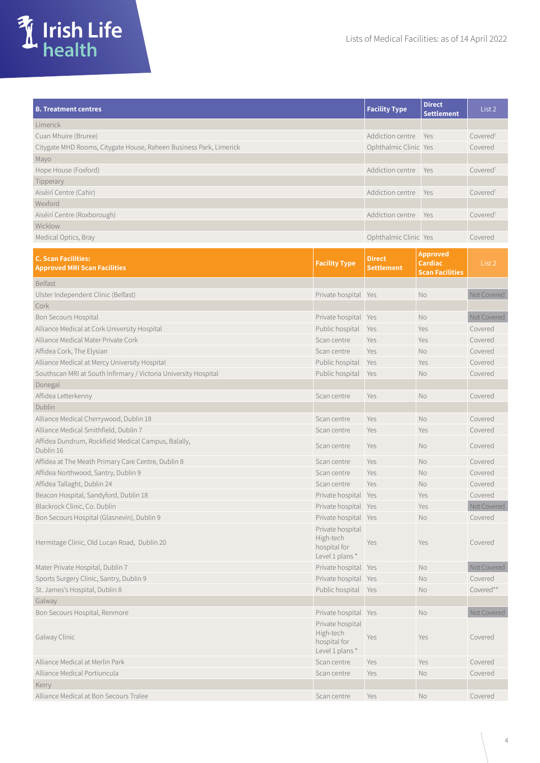



| <b>B. Treatment centres</b>                                        | <b>Facility Type</b>  | <b>Direct</b><br><b>Settlement</b> | List 2               |
|--------------------------------------------------------------------|-----------------------|------------------------------------|----------------------|
| <b>Limerick</b>                                                    |                       |                                    |                      |
| Cuan Mhuire (Bruree)                                               | Addiction centre Yes  |                                    | Covered <sup>t</sup> |
| Citygate MHD Rooms, Citygate House, Raheen Business Park, Limerick | Ophthalmic Clinic Yes |                                    | Covered              |
| Mayo                                                               |                       |                                    |                      |
| Hope House (Foxford)                                               | Addiction centre      | <b>Yes</b>                         | Covered <sup>t</sup> |
| Tipperary                                                          |                       |                                    |                      |
| Aiséirí Centre (Cahir)                                             | Addiction centre Yes  |                                    | Covered <sup>t</sup> |
| Wexford                                                            |                       |                                    |                      |
| Aiséirí Centre (Roxborough)                                        | Addiction centre Yes  |                                    | Covered <sup>t</sup> |
| Wicklow                                                            |                       |                                    |                      |
| Medical Optics, Bray                                               | Ophthalmic Clinic Yes |                                    | Covered              |

| <b>C. Scan Facilities:</b><br><b>Approved MRI Scan Facilities</b> | <b>Facility Type</b>                                             | <b>Direct</b><br><b>Settlement</b> | <b>Approved</b><br>Cardiac<br><b>Scan Facilities</b> | List 2      |
|-------------------------------------------------------------------|------------------------------------------------------------------|------------------------------------|------------------------------------------------------|-------------|
| <b>Belfast</b>                                                    |                                                                  |                                    |                                                      |             |
| Ulster Independent Clinic (Belfast)                               | Private hospital Yes                                             |                                    | No                                                   | Not Covered |
| Cork                                                              |                                                                  |                                    |                                                      |             |
| Bon Secours Hospital                                              | Private hospital Yes                                             |                                    | No                                                   | Not Covered |
| Alliance Medical at Cork University Hospital                      | Public hospital                                                  | Yes                                | Yes                                                  | Covered     |
| Alliance Medical Mater Private Cork                               | Scan centre                                                      | Yes                                | Yes                                                  | Covered     |
| Affidea Cork, The Elysian                                         | Scan centre                                                      | Yes                                | No                                                   | Covered     |
| Alliance Medical at Mercy University Hospital                     | Public hospital                                                  | Yes                                | Yes                                                  | Covered     |
| Southscan MRI at South Infirmary / Victoria University Hospital   | Public hospital                                                  | Yes                                | No                                                   | Covered     |
| Donegal                                                           |                                                                  |                                    |                                                      |             |
| Affidea Letterkenny                                               | Scan centre                                                      | Yes                                | No                                                   | Covered     |
| Dublin                                                            |                                                                  |                                    |                                                      |             |
| Alliance Medical Cherrywood, Dublin 18                            | Scan centre                                                      | Yes                                | <b>No</b>                                            | Covered     |
| Alliance Medical Smithfield, Dublin 7                             | Scan centre                                                      | Yes                                | Yes                                                  | Covered     |
| Affidea Dundrum, Rockfield Medical Campus, Balally,<br>Dublin 16  | Scan centre                                                      | Yes                                | <b>No</b>                                            | Covered     |
| Affidea at The Meath Primary Care Centre, Dublin 8                | Scan centre                                                      | Yes                                | <b>No</b>                                            | Covered     |
| Affidea Northwood, Santry, Dublin 9                               | Scan centre                                                      | Yes                                | No                                                   | Covered     |
| Affidea Tallaght, Dublin 24                                       | Scan centre                                                      | Yes                                | <b>No</b>                                            | Covered     |
| Beacon Hospital, Sandyford, Dublin 18                             | Private hospital Yes                                             |                                    | Yes                                                  | Covered     |
| Blackrock Clinic, Co. Dublin                                      | Private hospital Yes                                             |                                    | Yes                                                  | Not Covered |
| Bon Secours Hospital (Glasnevin), Dublin 9                        | Private hospital Yes                                             |                                    | No                                                   | Covered     |
| Hermitage Clinic, Old Lucan Road, Dublin 20                       | Private hospital<br>High-tech<br>hospital for<br>Level 1 plans * | Yes                                | Yes                                                  | Covered     |
| Mater Private Hospital, Dublin 7                                  | Private hospital Yes                                             |                                    | <b>No</b>                                            | Not Covered |
| Sports Surgery Clinic, Santry, Dublin 9                           | Private hospital                                                 | Yes                                | <b>No</b>                                            | Covered     |
| St. James's Hospital, Dublin 8                                    | Public hospital                                                  | Yes                                | <b>No</b>                                            | Covered**   |
| Galway                                                            |                                                                  |                                    |                                                      |             |
| Bon Secours Hospital, Renmore                                     | Private hospital Yes                                             |                                    | No                                                   | Not Covered |
| Galway Clinic                                                     | Private hospital<br>High-tech<br>hospital for<br>Level 1 plans * | Yes                                | Yes                                                  | Covered     |
| Alliance Medical at Merlin Park                                   | Scan centre                                                      | Yes                                | Yes                                                  | Covered     |
| Alliance Medical Portiuncula                                      | Scan centre                                                      | Yes                                | No                                                   | Covered     |
| Kerry                                                             |                                                                  |                                    |                                                      |             |
| Alliance Medical at Bon Secours Tralee                            | Scan centre                                                      | Yes                                | <b>No</b>                                            | Covered     |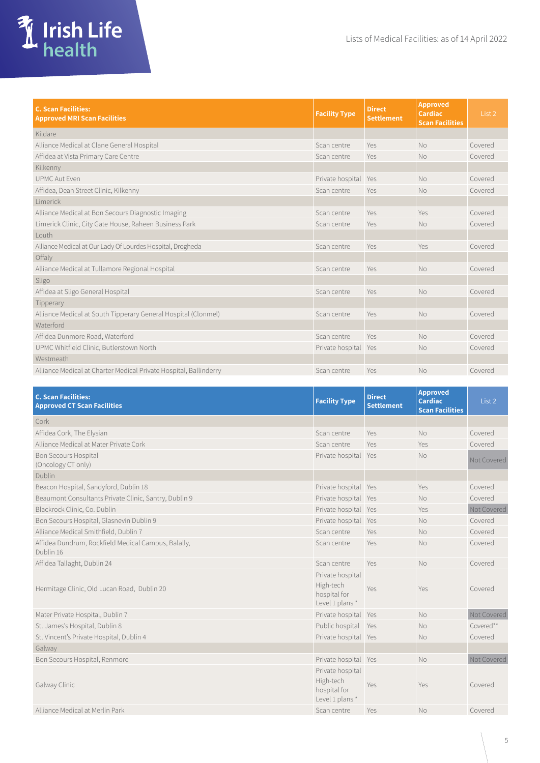

| <b>C. Scan Facilities:</b><br><b>Approved MRI Scan Facilities</b> | <b>Facility Type</b> | <b>Direct</b><br><b>Settlement</b> | <b>Approved</b><br><b>Cardiac</b><br><b>Scan Facilities</b> | List 2  |
|-------------------------------------------------------------------|----------------------|------------------------------------|-------------------------------------------------------------|---------|
| Kildare                                                           |                      |                                    |                                                             |         |
| Alliance Medical at Clane General Hospital                        | Scan centre          | Yes                                | <b>No</b>                                                   | Covered |
| Affidea at Vista Primary Care Centre                              | Scan centre          | Yes                                | <b>No</b>                                                   | Covered |
| Kilkenny                                                          |                      |                                    |                                                             |         |
| <b>UPMC Aut Fven</b>                                              | Private hospital     | Yes                                | <b>No</b>                                                   | Covered |
| Affidea, Dean Street Clinic, Kilkenny                             | Scan centre          | Yes                                | <b>No</b>                                                   | Covered |
| Limerick                                                          |                      |                                    |                                                             |         |
| Alliance Medical at Bon Secours Diagnostic Imaging                | Scan centre          | Yes                                | Yes                                                         | Covered |
| Limerick Clinic, City Gate House, Raheen Business Park            | Scan centre          | Yes                                | <b>No</b>                                                   | Covered |
| Louth                                                             |                      |                                    |                                                             |         |
| Alliance Medical at Our Lady Of Lourdes Hospital, Drogheda        | Scan centre          | Yes                                | Yes                                                         | Covered |
| Offaly                                                            |                      |                                    |                                                             |         |
| Alliance Medical at Tullamore Regional Hospital                   | Scan centre          | Yes                                | <b>No</b>                                                   | Covered |
| Sligo                                                             |                      |                                    |                                                             |         |
| Affidea at Sligo General Hospital                                 | Scan centre          | Yes                                | <b>No</b>                                                   | Covered |
| Tipperary                                                         |                      |                                    |                                                             |         |
| Alliance Medical at South Tipperary General Hospital (Clonmel)    | Scan centre          | Yes                                | <b>No</b>                                                   | Covered |
| Waterford                                                         |                      |                                    |                                                             |         |
| Affidea Dunmore Road, Waterford                                   | Scan centre          | Yes                                | No                                                          | Covered |
| UPMC Whitfield Clinic, Butlerstown North                          | Private hospital Yes |                                    | <b>No</b>                                                   | Covered |
| Westmeath                                                         |                      |                                    |                                                             |         |
| Alliance Medical at Charter Medical Private Hospital, Ballinderry | Scan centre          | Yes                                | <b>No</b>                                                   | Covered |

| <b>C. Scan Facilities:</b><br><b>Approved CT Scan Facilities</b> | <b>Facility Type</b>                                            | <b>Direct</b><br><b>Settlement</b> | <b>Approved</b><br><b>Cardiac</b><br><b>Scan Facilities</b> | List 2      |
|------------------------------------------------------------------|-----------------------------------------------------------------|------------------------------------|-------------------------------------------------------------|-------------|
| Cork                                                             |                                                                 |                                    |                                                             |             |
| Affidea Cork, The Elysian                                        | Scan centre                                                     | Yes                                | <b>No</b>                                                   | Covered     |
| Alliance Medical at Mater Private Cork                           | Scan centre                                                     | Yes                                | Yes                                                         | Covered     |
| <b>Bon Secours Hospital</b><br>(Oncology CT only)                | Private hospital Yes                                            |                                    | N <sub>o</sub>                                              | Not Covered |
| Dublin                                                           |                                                                 |                                    |                                                             |             |
| Beacon Hospital, Sandyford, Dublin 18                            | Private hospital Yes                                            |                                    | Yes                                                         | Covered     |
| Beaumont Consultants Private Clinic, Santry, Dublin 9            | Private hospital Yes                                            |                                    | <b>No</b>                                                   | Covered     |
| Blackrock Clinic, Co. Dublin                                     | Private hospital Yes                                            |                                    | Yes                                                         | Not Covered |
| Bon Secours Hospital, Glasnevin Dublin 9                         | Private hospital Yes                                            |                                    | <b>No</b>                                                   | Covered     |
| Alliance Medical Smithfield, Dublin 7                            | Scan centre                                                     | Yes                                | <b>No</b>                                                   | Covered     |
| Affidea Dundrum, Rockfield Medical Campus, Balally,<br>Dublin 16 | Scan centre                                                     | Yes                                | <b>No</b>                                                   | Covered     |
| Affidea Tallaght, Dublin 24                                      | Scan centre                                                     | Yes                                | <b>No</b>                                                   | Covered     |
| Hermitage Clinic, Old Lucan Road, Dublin 20                      | Private hospital<br>High-tech<br>hospital for<br>Level 1 plans* | Yes                                | Yes                                                         | Covered     |
| Mater Private Hospital, Dublin 7                                 | Private hospital Yes                                            |                                    | <b>No</b>                                                   | Not Covered |
| St. James's Hospital, Dublin 8                                   | Public hospital                                                 | Yes                                | <b>No</b>                                                   | Covered**   |
| St. Vincent's Private Hospital, Dublin 4                         | Private hospital Yes                                            |                                    | <b>No</b>                                                   | Covered     |
| Galway                                                           |                                                                 |                                    |                                                             |             |
| Bon Secours Hospital, Renmore                                    | Private hospital Yes                                            |                                    | No                                                          | Not Covered |
| Galway Clinic                                                    | Private hospital<br>High-tech<br>hospital for<br>Level 1 plans* | Yes                                | Yes                                                         | Covered     |
| Alliance Medical at Merlin Park                                  | Scan centre                                                     | Yes                                | <b>No</b>                                                   | Covered     |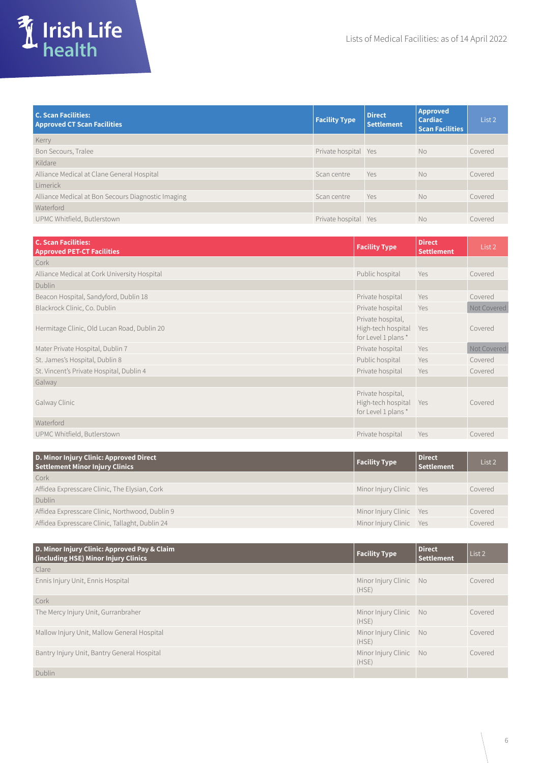

| <b>C. Scan Facilities:</b><br><b>Approved CT Scan Facilities</b> | <b>Facility Type</b> | <b>Direct</b><br><b>Settlement</b> | Approved<br><b>Cardiac</b><br><b>Scan Facilities</b> | List 2  |
|------------------------------------------------------------------|----------------------|------------------------------------|------------------------------------------------------|---------|
| Kerry                                                            |                      |                                    |                                                      |         |
| Bon Secours, Tralee                                              | Private hospital Yes |                                    | N <sub>o</sub>                                       | Covered |
| Kildare                                                          |                      |                                    |                                                      |         |
| Alliance Medical at Clane General Hospital                       | Scan centre          | Yes                                | N <sub>o</sub>                                       | Covered |
| Limerick                                                         |                      |                                    |                                                      |         |
| Alliance Medical at Bon Secours Diagnostic Imaging               | Scan centre          | Yes                                | <b>No</b>                                            | Covered |
| Waterford                                                        |                      |                                    |                                                      |         |
| UPMC Whitfield, Butlerstown                                      | Private hospital Yes |                                    | No                                                   | Covered |

| <b>C. Scan Facilities:</b><br><b>Approved PET-CT Facilities</b> | <b>Facility Type</b>                                              | <b>Direct</b><br><b>Settlement</b> | List 2      |
|-----------------------------------------------------------------|-------------------------------------------------------------------|------------------------------------|-------------|
| Cork                                                            |                                                                   |                                    |             |
| Alliance Medical at Cork University Hospital                    | Public hospital                                                   | Yes                                | Covered     |
| Dublin                                                          |                                                                   |                                    |             |
| Beacon Hospital, Sandyford, Dublin 18                           | Private hospital                                                  | Yes                                | Covered     |
| Blackrock Clinic, Co. Dublin                                    | Private hospital                                                  | Yes                                | Not Covered |
| Hermitage Clinic, Old Lucan Road, Dublin 20                     | Private hospital,<br>High-tech hospital Yes<br>for Level 1 plans* |                                    | Covered     |
| Mater Private Hospital, Dublin 7                                | Private hospital                                                  | Yes                                | Not Covered |
| St. James's Hospital, Dublin 8                                  | Public hospital                                                   | Yes                                | Covered     |
| St. Vincent's Private Hospital, Dublin 4                        | Private hospital                                                  | Yes                                | Covered     |
| Galway                                                          |                                                                   |                                    |             |
| Galway Clinic                                                   | Private hospital,<br>High-tech hospital Yes<br>for Level 1 plans* |                                    | Covered     |
| Waterford                                                       |                                                                   |                                    |             |
| UPMC Whitfield, Butlerstown                                     | Private hospital                                                  | Yes                                | Covered     |

| D. Minor Injury Clinic: Approved Direct<br><b>Settlement Minor Injury Clinics</b> | <b>Facility Type</b>    | <b>Direct</b><br>Settlement | List 2  |
|-----------------------------------------------------------------------------------|-------------------------|-----------------------------|---------|
| Cork                                                                              |                         |                             |         |
| Affidea Expresscare Clinic, The Elysian, Cork                                     | Minor Injury Clinic Yes |                             | Covered |
| <b>Dublin</b>                                                                     |                         |                             |         |
| Affidea Expresscare Clinic, Northwood, Dublin 9                                   | Minor Injury Clinic Yes |                             | Covered |
| Affidea Expresscare Clinic, Tallaght, Dublin 24                                   | Minor Injury Clinic Yes |                             | Covered |

| D. Minor Injury Clinic: Approved Pay & Claim<br>(including HSE) Minor Injury Clinics | <b>Facility Type</b>            | Direct<br><b>Settlement</b> | List 2  |
|--------------------------------------------------------------------------------------|---------------------------------|-----------------------------|---------|
| Clare                                                                                |                                 |                             |         |
| Ennis Injury Unit, Ennis Hospital                                                    | Minor Injury Clinic No<br>(HSE) |                             | Covered |
| Cork                                                                                 |                                 |                             |         |
| The Mercy Injury Unit, Gurranbraher                                                  | Minor Injury Clinic No<br>(HSE) |                             | Covered |
| Mallow Injury Unit, Mallow General Hospital                                          | Minor Injury Clinic No<br>(HSE) |                             | Covered |
| Bantry Injury Unit, Bantry General Hospital                                          | Minor Injury Clinic No<br>(HSE) |                             | Covered |
| Dublin                                                                               |                                 |                             |         |